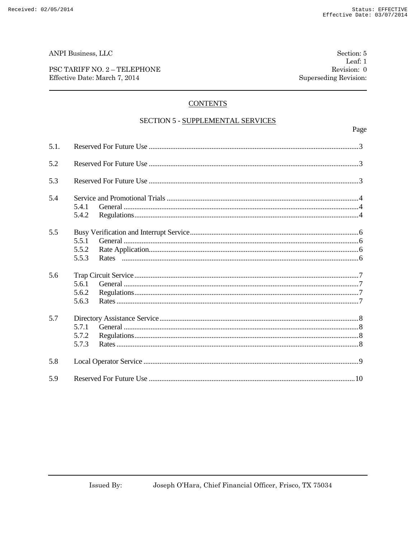ANPI Business, LLC

PSC TARIFF NO. 2 - TELEPHONE Effective Date: March 7, 2014

# **CONTENTS**

## SECTION 5 - SUPPLEMENTAL SERVICES

| 5.1. |                         |  |
|------|-------------------------|--|
| 5.2  |                         |  |
| 5.3  |                         |  |
| 5.4  | 5.4.1<br>5.4.2          |  |
| 5.5  | 5.5.1<br>5.5.2<br>5.5.3 |  |
| 5.6  | 5.6.1<br>5.6.2<br>5.6.3 |  |
| 5.7  | 5.7.1<br>5.7.2<br>5.7.3 |  |
| 5.8  |                         |  |
| 5.9  |                         |  |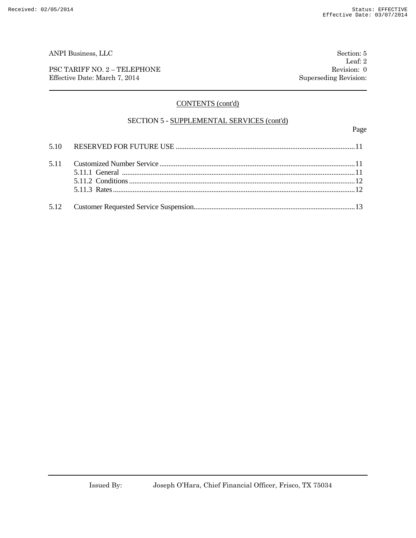PSC TARIFF NO. 2 – TELEPHONE Revision: 0 Effective Date: March 7, 2014 Superseding Revision:

Leaf: 2

# CONTENTS (cont'd)

## SECTION 5 - SUPPLEMENTAL SERVICES (cont'd)

Page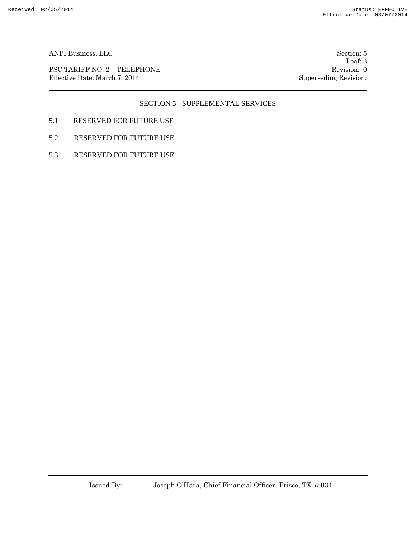PSC TARIFF NO. 2 – TELEPHONE Revision: 0 Effective Date: March 7, 2014 Superseding Revision:

Leaf: 3

# SECTION 5 - SUPPLEMENTAL SERVICES

- 5.1 RESERVED FOR FUTURE USE
- 5.2 RESERVED FOR FUTURE USE
- 5.3 RESERVED FOR FUTURE USE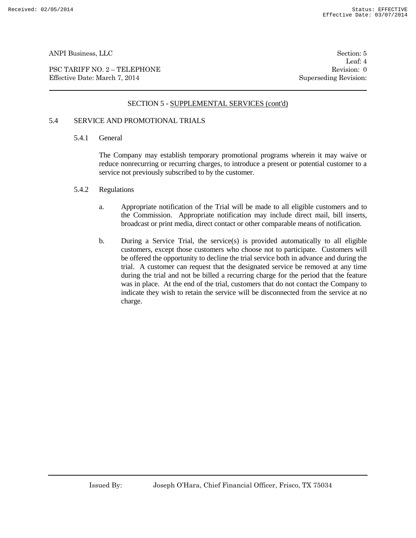PSC TARIFF NO. 2 – TELEPHONE Revision: 0 Effective Date: March 7, 2014 Superseding Revision:

Leaf: 4

# SECTION 5 - SUPPLEMENTAL SERVICES (cont'd)

# 5.4 SERVICE AND PROMOTIONAL TRIALS

#### 5.4.1 General

The Company may establish temporary promotional programs wherein it may waive or reduce nonrecurring or recurring charges, to introduce a present or potential customer to a service not previously subscribed to by the customer.

#### 5.4.2 Regulations

- a. Appropriate notification of the Trial will be made to all eligible customers and to the Commission. Appropriate notification may include direct mail, bill inserts, broadcast or print media, direct contact or other comparable means of notification.
- b. During a Service Trial, the service(s) is provided automatically to all eligible customers, except those customers who choose not to participate. Customers will be offered the opportunity to decline the trial service both in advance and during the trial. A customer can request that the designated service be removed at any time during the trial and not be billed a recurring charge for the period that the feature was in place. At the end of the trial, customers that do not contact the Company to indicate they wish to retain the service will be disconnected from the service at no charge.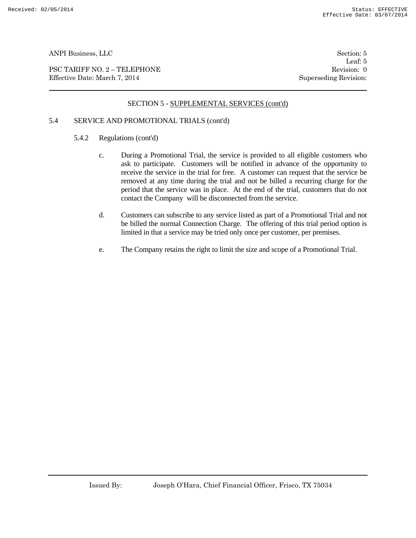PSC TARIFF NO. 2 – TELEPHONE Revision: 0 Effective Date: March 7, 2014 Superseding Revision:

Leaf: 5

# SECTION 5 - SUPPLEMENTAL SERVICES (cont'd)

# 5.4 SERVICE AND PROMOTIONAL TRIALS (cont'd)

- 5.4.2 Regulations (cont'd)
	- c. During a Promotional Trial, the service is provided to all eligible customers who ask to participate. Customers will be notified in advance of the opportunity to receive the service in the trial for free. A customer can request that the service be removed at any time during the trial and not be billed a recurring charge for the period that the service was in place. At the end of the trial, customers that do not contact the Company will be disconnected from the service.
	- d. Customers can subscribe to any service listed as part of a Promotional Trial and not be billed the normal Connection Charge. The offering of this trial period option is limited in that a service may be tried only once per customer, per premises.
	- e. The Company retains the right to limit the size and scope of a Promotional Trial.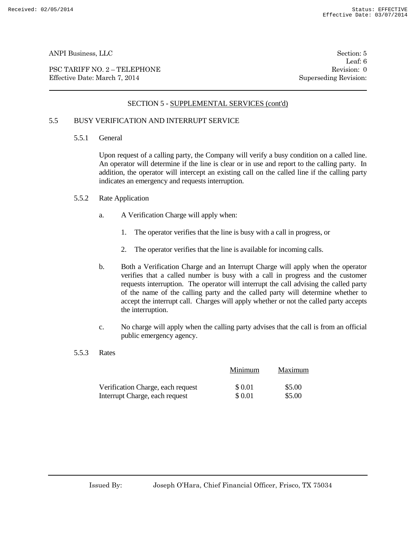PSC TARIFF NO. 2 – TELEPHONE Revision: 0<br>
Effective Date: March 7, 2014 Superseding Revision: 0 Effective Date: March 7, 2014

Leaf: 6

# SECTION 5 - SUPPLEMENTAL SERVICES (cont'd)

# 5.5 BUSY VERIFICATION AND INTERRUPT SERVICE

5.5.1 General

Upon request of a calling party, the Company will verify a busy condition on a called line. An operator will determine if the line is clear or in use and report to the calling party. In addition, the operator will intercept an existing call on the called line if the calling party indicates an emergency and requests interruption.

- 5.5.2 Rate Application
	- a. A Verification Charge will apply when:
		- 1. The operator verifies that the line is busy with a call in progress, or
		- 2. The operator verifies that the line is available for incoming calls.
	- b. Both a Verification Charge and an Interrupt Charge will apply when the operator verifies that a called number is busy with a call in progress and the customer requests interruption. The operator will interrupt the call advising the called party of the name of the calling party and the called party will determine whether to accept the interrupt call. Charges will apply whether or not the called party accepts the interruption.
	- c. No charge will apply when the calling party advises that the call is from an official public emergency agency.
- 5.5.3 Rates

|                                   | Minimum | Maximum |
|-----------------------------------|---------|---------|
| Verification Charge, each request | \$ 0.01 | \$5.00  |
| Interrupt Charge, each request    | \$ 0.01 | \$5.00  |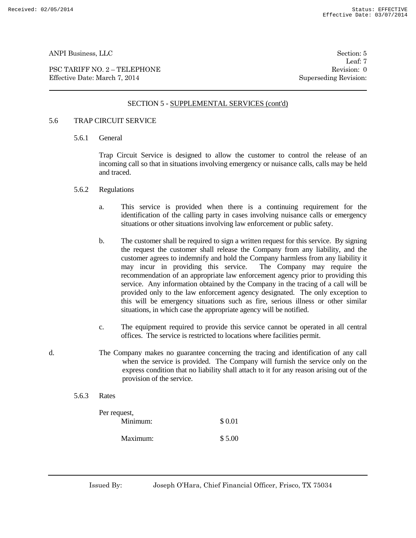PSC TARIFF NO. 2 – TELEPHONE Revision: 0 Effective Date: March 7, 2014 Superseding Revision:

Leaf: 7

#### SECTION 5 - SUPPLEMENTAL SERVICES (cont'd)

#### 5.6 TRAP CIRCUIT SERVICE

5.6.1 General

Trap Circuit Service is designed to allow the customer to control the release of an incoming call so that in situations involving emergency or nuisance calls, calls may be held and traced.

- 5.6.2 Regulations
	- a. This service is provided when there is a continuing requirement for the identification of the calling party in cases involving nuisance calls or emergency situations or other situations involving law enforcement or public safety.
	- b. The customer shall be required to sign a written request for this service. By signing the request the customer shall release the Company from any liability, and the customer agrees to indemnify and hold the Company harmless from any liability it may incur in providing this service. The Company may require the recommendation of an appropriate law enforcement agency prior to providing this service. Any information obtained by the Company in the tracing of a call will be provided only to the law enforcement agency designated. The only exception to this will be emergency situations such as fire, serious illness or other similar situations, in which case the appropriate agency will be notified.
	- c. The equipment required to provide this service cannot be operated in all central offices. The service is restricted to locations where facilities permit.
- d. The Company makes no guarantee concerning the tracing and identification of any call when the service is provided. The Company will furnish the service only on the express condition that no liability shall attach to it for any reason arising out of the provision of the service.
	- 5.6.3 Rates

| Per request, |        |
|--------------|--------|
| Minimum:     | \$0.01 |
| Maximum:     | \$5.00 |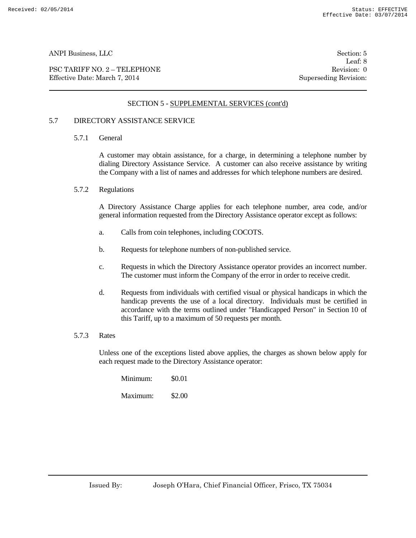PSC TARIFF NO. 2 – TELEPHONE Revision: 0 Effective Date: March 7, 2014 Superseding Revision:

Leaf: 8

# SECTION 5 - SUPPLEMENTAL SERVICES (cont'd)

## 5.7 DIRECTORY ASSISTANCE SERVICE

5.7.1 General

A customer may obtain assistance, for a charge, in determining a telephone number by dialing Directory Assistance Service. A customer can also receive assistance by writing the Company with a list of names and addresses for which telephone numbers are desired.

5.7.2 Regulations

A Directory Assistance Charge applies for each telephone number, area code, and/or general information requested from the Directory Assistance operator except as follows:

- a. Calls from coin telephones, including COCOTS.
- b. Requests for telephone numbers of non-published service.
- c. Requests in which the Directory Assistance operator provides an incorrect number. The customer must inform the Company of the error in order to receive credit.
- d. Requests from individuals with certified visual or physical handicaps in which the handicap prevents the use of a local directory. Individuals must be certified in accordance with the terms outlined under "Handicapped Person" in Section 10 of this Tariff, up to a maximum of 50 requests per month.

#### 5.7.3 Rates

Unless one of the exceptions listed above applies, the charges as shown below apply for each request made to the Directory Assistance operator:

| Minimum: | \$0.01 |
|----------|--------|
| Maximum: | \$2.00 |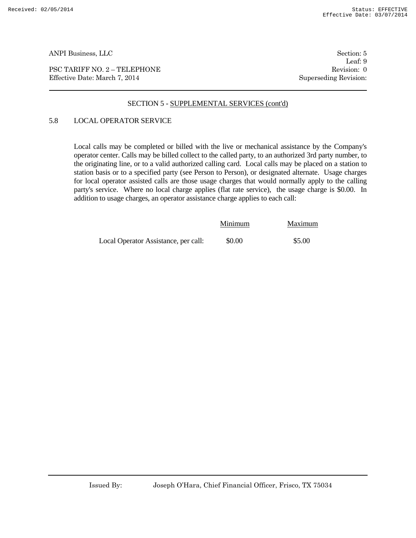PSC TARIFF NO. 2 – TELEPHONE Revision: 0 Effective Date: March 7, 2014 Superseding Revision:

Leaf: 9

#### SECTION 5 - SUPPLEMENTAL SERVICES (cont'd)

# 5.8 LOCAL OPERATOR SERVICE

Local calls may be completed or billed with the live or mechanical assistance by the Company's operator center. Calls may be billed collect to the called party, to an authorized 3rd party number, to the originating line, or to a valid authorized calling card. Local calls may be placed on a station to station basis or to a specified party (see Person to Person), or designated alternate. Usage charges for local operator assisted calls are those usage charges that would normally apply to the calling party's service. Where no local charge applies (flat rate service), the usage charge is \$0.00. In addition to usage charges, an operator assistance charge applies to each call:

|                                      | Minimum | Maximum |
|--------------------------------------|---------|---------|
| Local Operator Assistance, per call: | \$0.00  | \$5.00  |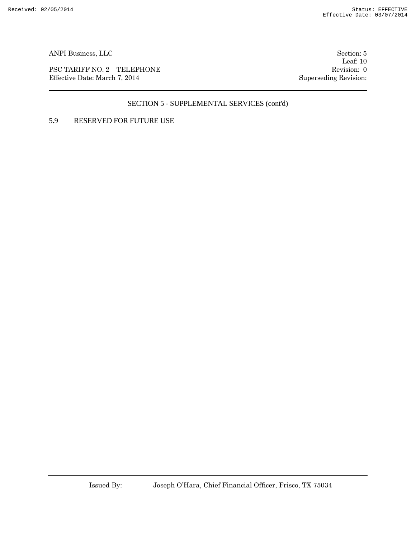PSC TARIFF NO. 2 – TELEPHONE Revision: 0 Effective Date: March 7, 2014 Superseding Revision:

Leaf: 10

# SECTION 5 - SUPPLEMENTAL SERVICES (cont'd)

# 5.9 RESERVED FOR FUTURE USE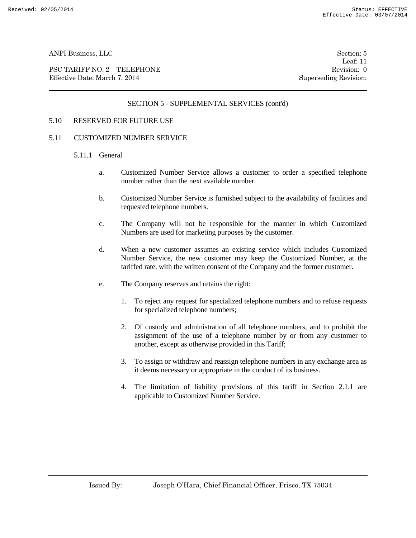PSC TARIFF NO. 2 – TELEPHONE Revision: 0<br>
Effective Date: March 7, 2014 Superseding Revision: 0 Effective Date: March 7, 2014

Leaf: 11

# SECTION 5 - SUPPLEMENTAL SERVICES (cont'd)

#### 5.10 RESERVED FOR FUTURE USE

#### 5.11 CUSTOMIZED NUMBER SERVICE

- 5.11.1 General
	- a. Customized Number Service allows a customer to order a specified telephone number rather than the next available number.
	- b. Customized Number Service is furnished subject to the availability of facilities and requested telephone numbers.
	- c. The Company will not be responsible for the manner in which Customized Numbers are used for marketing purposes by the customer.
	- d. When a new customer assumes an existing service which includes Customized Number Service, the new customer may keep the Customized Number, at the tariffed rate, with the written consent of the Company and the former customer.
	- e. The Company reserves and retains the right:
		- 1. To reject any request for specialized telephone numbers and to refuse requests for specialized telephone numbers;
		- 2. Of custody and administration of all telephone numbers, and to prohibit the assignment of the use of a telephone number by or from any customer to another, except as otherwise provided in this Tariff;
		- 3. To assign or withdraw and reassign telephone numbers in any exchange area as it deems necessary or appropriate in the conduct of its business.
		- 4. The limitation of liability provisions of this tariff in Section 2.1.1 are applicable to Customized Number Service.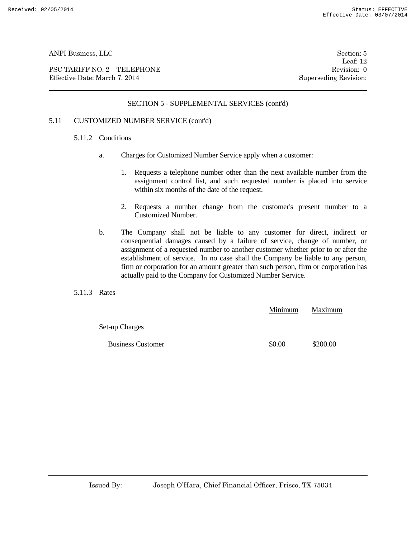PSC TARIFF NO. 2 – TELEPHONE Revision: 0 Effective Date: March 7, 2014 Superseding Revision:

Leaf: 12

# SECTION 5 - SUPPLEMENTAL SERVICES (cont'd)

## 5.11 CUSTOMIZED NUMBER SERVICE (cont'd)

#### 5.11.2 Conditions

- a. Charges for Customized Number Service apply when a customer:
	- 1. Requests a telephone number other than the next available number from the assignment control list, and such requested number is placed into service within six months of the date of the request.
	- 2. Requests a number change from the customer's present number to a Customized Number.
- b. The Company shall not be liable to any customer for direct, indirect or consequential damages caused by a failure of service, change of number, or assignment of a requested number to another customer whether prior to or after the establishment of service. In no case shall the Company be liable to any person, firm or corporation for an amount greater than such person, firm or corporation has actually paid to the Company for Customized Number Service.
- 5.11.3 Rates

|                          | Minimum | Maximum  |
|--------------------------|---------|----------|
| Set-up Charges           |         |          |
| <b>Business Customer</b> | \$0.00  | \$200.00 |